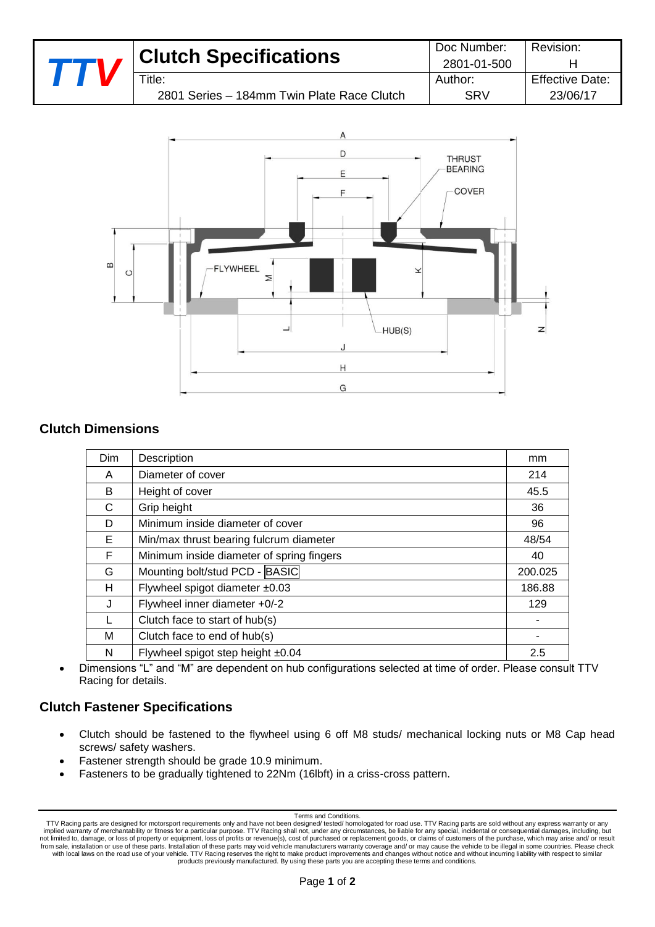|  | <b>Clutch Specifications</b>                               | Doc Number:<br>2801-01-500 | Revision:                          |
|--|------------------------------------------------------------|----------------------------|------------------------------------|
|  | $\tau$ itle:<br>2801 Series - 184mm Twin Plate Race Clutch | Author:<br>SRV             | <b>Effective Date:</b><br>23/06/17 |
|  |                                                            |                            |                                    |



# **Clutch Dimensions**

| <b>Dim</b> | Description                               | mm      |
|------------|-------------------------------------------|---------|
| A          | Diameter of cover                         | 214     |
| B          | Height of cover                           | 45.5    |
| C          | Grip height                               | 36      |
| D          | Minimum inside diameter of cover          | 96      |
| Е          | Min/max thrust bearing fulcrum diameter   | 48/54   |
| F          | Minimum inside diameter of spring fingers | 40      |
| G          | Mounting bolt/stud PCD - BASIC            | 200.025 |
| н          | Flywheel spigot diameter ±0.03            | 186.88  |
| J          | Flywheel inner diameter +0/-2             | 129     |
|            | Clutch face to start of hub(s)            |         |
| м          | Clutch face to end of hub(s)              |         |
| N          | Flywheel spigot step height ±0.04         | 2.5     |

 Dimensions "L" and "M" are dependent on hub configurations selected at time of order. Please consult TTV Racing for details.

## **Clutch Fastener Specifications**

- Clutch should be fastened to the flywheel using 6 off M8 studs/ mechanical locking nuts or M8 Cap head screws/ safety washers.
- Fastener strength should be grade 10.9 minimum.
- Fasteners to be gradually tightened to 22Nm (16lbft) in a criss-cross pattern.

#### Terms and Conditions.

TTV Racing parts are designed for motorsport requirements only and have not been designed/ tested/ homologated for road use. TTV Racing parts are sold without any express warranty or any implied warranty of merchantability or fitness for a particular purpose. TTV Racing shall not, under any circumstances, be liable for any special, incidental or consequential damages, including, but<br>Interview to manage, or products previously manufactured. By using these parts you are accepting these terms and conditions.